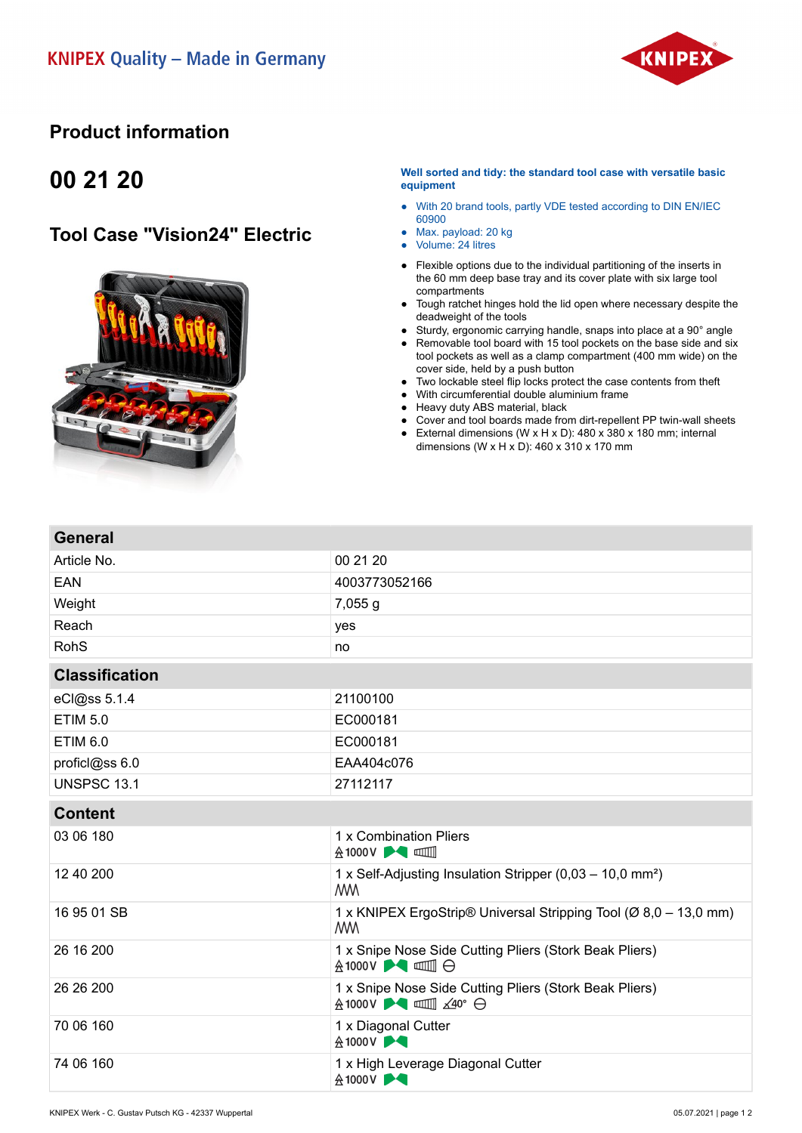

#### **Product information**

## **00 21 20**

**General**

### **Tool Case "Vision24" Electric**



#### **Well sorted and tidy: the standard tool case with versatile basic equipment**

- With 20 brand tools, partly VDE tested according to DIN EN/IEC 60900
- Max. payload: 20 kg
- Volume: 24 litres
- Flexible options due to the individual partitioning of the inserts in the 60 mm deep base tray and its cover plate with six large tool compartments
- Tough ratchet hinges hold the lid open where necessary despite the deadweight of the tools
- Sturdy, ergonomic carrying handle, snaps into place at a 90° angle
- Removable tool board with 15 tool pockets on the base side and six tool pockets as well as a clamp compartment (400 mm wide) on the cover side, held by a push button
- Two lockable steel flip locks protect the case contents from theft
- With circumferential double aluminium frame
- Heavy duty ABS material, black
- Cover and tool boards made from dirt-repellent PP twin-wall sheets
- External dimensions (W x H x D): 480 x 380 x 180 mm; internal dimensions (W x H x D):  $460 \times 310 \times 170$  mm

| Article No.           | 00 21 20                                                                              |
|-----------------------|---------------------------------------------------------------------------------------|
| <b>EAN</b>            | 4003773052166                                                                         |
| Weight                | 7,055 g                                                                               |
| Reach                 | yes                                                                                   |
| <b>RohS</b>           | no                                                                                    |
| <b>Classification</b> |                                                                                       |
| eCl@ss 5.1.4          | 21100100                                                                              |
| <b>ETIM 5.0</b>       | EC000181                                                                              |
| <b>ETIM 6.0</b>       | EC000181                                                                              |
| proficl@ss 6.0        | EAA404c076                                                                            |
| <b>UNSPSC 13.1</b>    | 27112117                                                                              |
| <b>Content</b>        |                                                                                       |
| 03 06 180             | 1 x Combination Pliers<br><b>A1000V ▶◀ □■</b>                                         |
| 12 40 200             | 1 x Self-Adjusting Insulation Stripper (0,03 – 10,0 mm <sup>2</sup> )<br><b>MM</b>    |
| 16 95 01 SB           | 1 x KNIPEX ErgoStrip® Universal Stripping Tool (Ø 8,0 – 13,0 mm)<br><b>MM</b>         |
| 26 16 200             | 1 x Snipe Nose Side Cutting Pliers (Stork Beak Pliers)<br><b>A1000V ▶● □□●</b>        |
| 26 26 200             | 1 x Snipe Nose Side Cutting Pliers (Stork Beak Pliers)<br>A 1000V <b>A III</b> ∡40° → |
| 70 06 160             | 1 x Diagonal Cutter<br>&1000V                                                         |
| 74 06 160             | 1 x High Leverage Diagonal Cutter<br><b>A1000V ▶●</b>                                 |